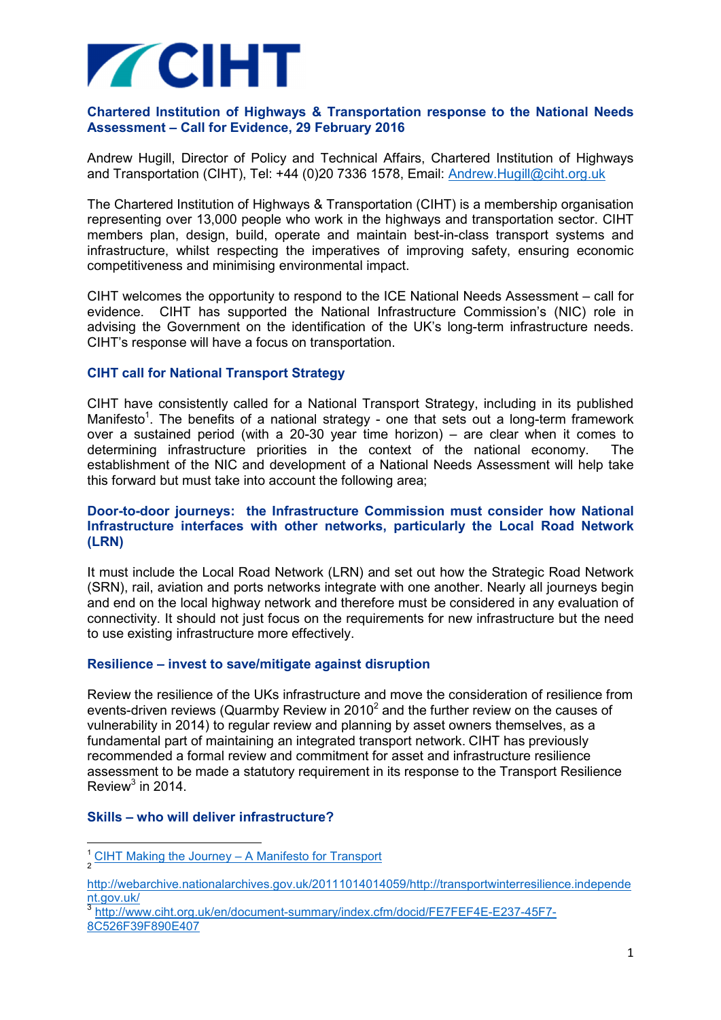

## **Chartered Institution of Highways & Transportation response to the National Needs Assessment – Call for Evidence, 29 February 2016**

Andrew Hugill, Director of Policy and Technical Affairs, Chartered Institution of Highways and Transportation (CIHT), Tel: +44 (0)20 7336 1578, Email: Andrew.Hugill@ciht.org.uk

The Chartered Institution of Highways & Transportation (CIHT) is a membership organisation representing over 13,000 people who work in the highways and transportation sector. CIHT members plan, design, build, operate and maintain best-in-class transport systems and infrastructure, whilst respecting the imperatives of improving safety, ensuring economic competitiveness and minimising environmental impact.

CIHT welcomes the opportunity to respond to the ICE National Needs Assessment – call for evidence. CIHT has supported the National Infrastructure Commission's (NIC) role in advising the Government on the identification of the UK's long-term infrastructure needs. CIHT's response will have a focus on transportation.

### **CIHT call for National Transport Strategy**

CIHT have consistently called for a National Transport Strategy, including in its published Manifesto<sup>1</sup>. The benefits of a national strategy - one that sets out a long-term framework over a sustained period (with a 20-30 year time horizon) – are clear when it comes to determining infrastructure priorities in the context of the national economy. The establishment of the NIC and development of a National Needs Assessment will help take this forward but must take into account the following area;

### **Door-to-door journeys: the Infrastructure Commission must consider how National Infrastructure interfaces with other networks, particularly the Local Road Network (LRN)**

It must include the Local Road Network (LRN) and set out how the Strategic Road Network (SRN), rail, aviation and ports networks integrate with one another. Nearly all journeys begin and end on the local highway network and therefore must be considered in any evaluation of connectivity. It should not just focus on the requirements for new infrastructure but the need to use existing infrastructure more effectively.

#### **Resilience – invest to save/mitigate against disruption**

Review the resilience of the UKs infrastructure and move the consideration of resilience from events-driven reviews (Quarmby Review in 2010<sup>2</sup> and the further review on the causes of vulnerability in 2014) to regular review and planning by asset owners themselves, as a fundamental part of maintaining an integrated transport network. CIHT has previously recommended a formal review and commitment for asset and infrastructure resilience assessment to be made a statutory requirement in its response to the Transport Resilience Review $3$  in 2014.

#### **Skills – who will deliver infrastructure?**

l

<sup>&</sup>lt;sup>1</sup> CIHT Making the Journey – A Manifesto for Transport

http://webarchive.nationalarchives.gov.uk/20111014014059/http://transportwinterresilience.independe nt.gov.uk/

<sup>3</sup> http://www.ciht.org.uk/en/document-summary/index.cfm/docid/FE7FEF4E-E237-45F7- 8C526F39F890E407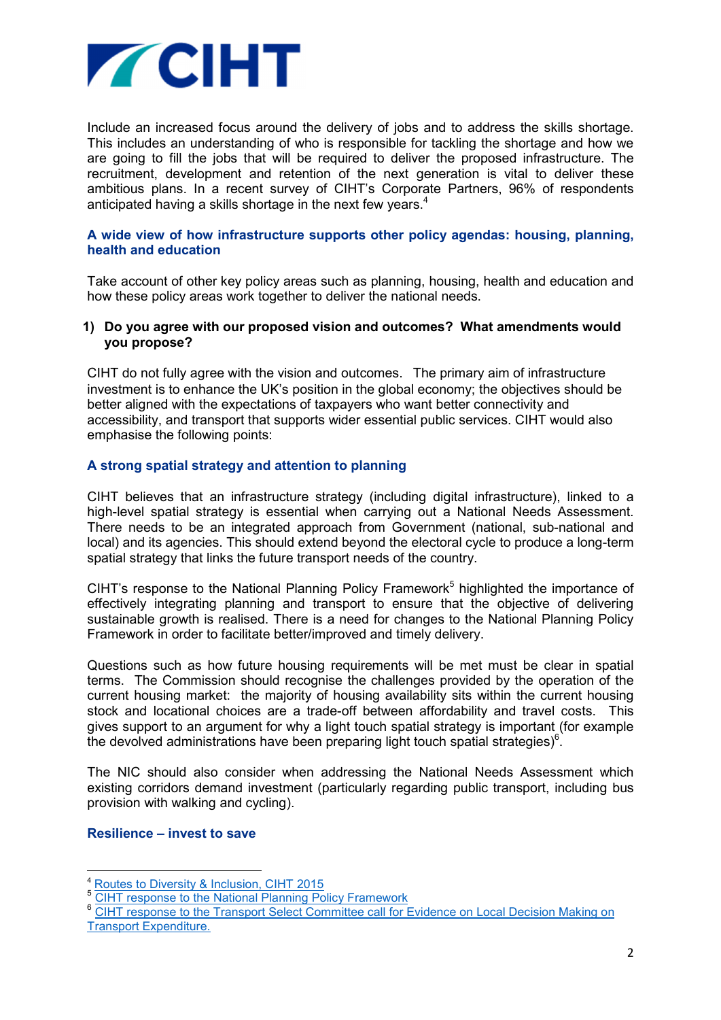

Include an increased focus around the delivery of jobs and to address the skills shortage. This includes an understanding of who is responsible for tackling the shortage and how we are going to fill the jobs that will be required to deliver the proposed infrastructure. The recruitment, development and retention of the next generation is vital to deliver these ambitious plans. In a recent survey of CIHT's Corporate Partners, 96% of respondents anticipated having a skills shortage in the next few years.<sup>4</sup>

### **A wide view of how infrastructure supports other policy agendas: housing, planning, health and education**

Take account of other key policy areas such as planning, housing, health and education and how these policy areas work together to deliver the national needs.

#### **1) Do you agree with our proposed vision and outcomes? What amendments would you propose?**

CIHT do not fully agree with the vision and outcomes. The primary aim of infrastructure investment is to enhance the UK's position in the global economy; the objectives should be better aligned with the expectations of taxpayers who want better connectivity and accessibility, and transport that supports wider essential public services. CIHT would also emphasise the following points:

# **A strong spatial strategy and attention to planning**

CIHT believes that an infrastructure strategy (including digital infrastructure), linked to a high-level spatial strategy is essential when carrying out a National Needs Assessment. There needs to be an integrated approach from Government (national, sub-national and local) and its agencies. This should extend beyond the electoral cycle to produce a long-term spatial strategy that links the future transport needs of the country.

CIHT's response to the National Planning Policy Framework<sup>5</sup> highlighted the importance of effectively integrating planning and transport to ensure that the objective of delivering sustainable growth is realised. There is a need for changes to the National Planning Policy Framework in order to facilitate better/improved and timely delivery.

Questions such as how future housing requirements will be met must be clear in spatial terms. The Commission should recognise the challenges provided by the operation of the current housing market: the majority of housing availability sits within the current housing stock and locational choices are a trade-off between affordability and travel costs. This gives support to an argument for why a light touch spatial strategy is important (for example the devolved administrations have been preparing light touch spatial strategies) $6$ .

The NIC should also consider when addressing the National Needs Assessment which existing corridors demand investment (particularly regarding public transport, including bus provision with walking and cycling).

#### **Resilience – invest to save**

l

<sup>4</sup> Routes to Diversity & Inclusion, CIHT 2015

<sup>5</sup> CIHT response to the National Planning Policy Framework

<sup>&</sup>lt;sup>6</sup> CIHT response to the Transport Select Committee call for Evidence on Local Decision Making on Transport Expenditure.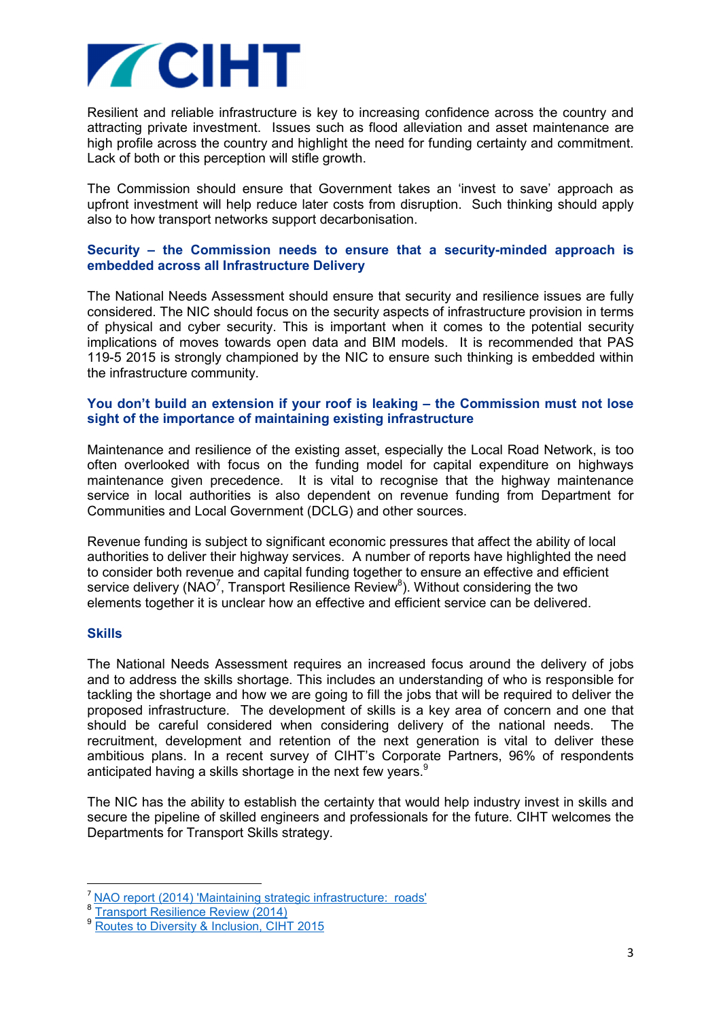

Resilient and reliable infrastructure is key to increasing confidence across the country and attracting private investment. Issues such as flood alleviation and asset maintenance are high profile across the country and highlight the need for funding certainty and commitment. Lack of both or this perception will stifle growth.

The Commission should ensure that Government takes an 'invest to save' approach as upfront investment will help reduce later costs from disruption. Such thinking should apply also to how transport networks support decarbonisation.

### **Security – the Commission needs to ensure that a security-minded approach is embedded across all Infrastructure Delivery**

The National Needs Assessment should ensure that security and resilience issues are fully considered. The NIC should focus on the security aspects of infrastructure provision in terms of physical and cyber security. This is important when it comes to the potential security implications of moves towards open data and BIM models. It is recommended that PAS 119-5 2015 is strongly championed by the NIC to ensure such thinking is embedded within the infrastructure community.

## **You don't build an extension if your roof is leaking – the Commission must not lose sight of the importance of maintaining existing infrastructure**

Maintenance and resilience of the existing asset, especially the Local Road Network, is too often overlooked with focus on the funding model for capital expenditure on highways maintenance given precedence. It is vital to recognise that the highway maintenance service in local authorities is also dependent on revenue funding from Department for Communities and Local Government (DCLG) and other sources.

Revenue funding is subject to significant economic pressures that affect the ability of local authorities to deliver their highway services. A number of reports have highlighted the need to consider both revenue and capital funding together to ensure an effective and efficient service delivery (NAO<sup>7</sup>, Transport Resilience Review<sup>8</sup>). Without considering the two elements together it is unclear how an effective and efficient service can be delivered.

#### **Skills**

l

The National Needs Assessment requires an increased focus around the delivery of jobs and to address the skills shortage. This includes an understanding of who is responsible for tackling the shortage and how we are going to fill the jobs that will be required to deliver the proposed infrastructure. The development of skills is a key area of concern and one that should be careful considered when considering delivery of the national needs. The recruitment, development and retention of the next generation is vital to deliver these ambitious plans. In a recent survey of CIHT's Corporate Partners, 96% of respondents anticipated having a skills shortage in the next few years.<sup>9</sup>

The NIC has the ability to establish the certainty that would help industry invest in skills and secure the pipeline of skilled engineers and professionals for the future. CIHT welcomes the Departments for Transport Skills strategy.

<sup>7</sup> NAO report (2014) 'Maintaining strategic infrastructure: roads'

<sup>&</sup>lt;sup>8</sup> Transport Resilience Review (2014)

Routes to Diversity & Inclusion, CIHT 2015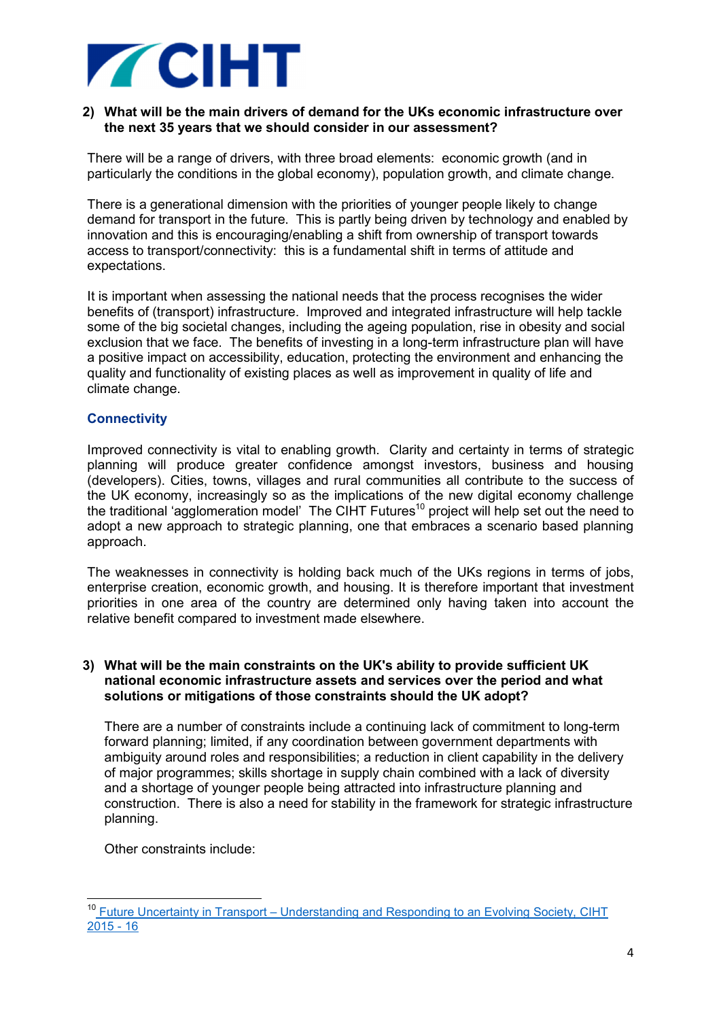

## **2) What will be the main drivers of demand for the UKs economic infrastructure over the next 35 years that we should consider in our assessment?**

There will be a range of drivers, with three broad elements: economic growth (and in particularly the conditions in the global economy), population growth, and climate change.

There is a generational dimension with the priorities of younger people likely to change demand for transport in the future. This is partly being driven by technology and enabled by innovation and this is encouraging/enabling a shift from ownership of transport towards access to transport/connectivity: this is a fundamental shift in terms of attitude and expectations.

It is important when assessing the national needs that the process recognises the wider benefits of (transport) infrastructure. Improved and integrated infrastructure will help tackle some of the big societal changes, including the ageing population, rise in obesity and social exclusion that we face. The benefits of investing in a long-term infrastructure plan will have a positive impact on accessibility, education, protecting the environment and enhancing the quality and functionality of existing places as well as improvement in quality of life and climate change.

# **Connectivity**

Improved connectivity is vital to enabling growth. Clarity and certainty in terms of strategic planning will produce greater confidence amongst investors, business and housing (developers). Cities, towns, villages and rural communities all contribute to the success of the UK economy, increasingly so as the implications of the new digital economy challenge the traditional 'agglomeration model' The CIHT Futures<sup>10</sup> project will help set out the need to adopt a new approach to strategic planning, one that embraces a scenario based planning approach.

The weaknesses in connectivity is holding back much of the UKs regions in terms of jobs, enterprise creation, economic growth, and housing. It is therefore important that investment priorities in one area of the country are determined only having taken into account the relative benefit compared to investment made elsewhere.

#### **3) What will be the main constraints on the UK's ability to provide sufficient UK national economic infrastructure assets and services over the period and what solutions or mitigations of those constraints should the UK adopt?**

There are a number of constraints include a continuing lack of commitment to long-term forward planning; limited, if any coordination between government departments with ambiguity around roles and responsibilities; a reduction in client capability in the delivery of major programmes; skills shortage in supply chain combined with a lack of diversity and a shortage of younger people being attracted into infrastructure planning and construction. There is also a need for stability in the framework for strategic infrastructure planning.

Other constraints include:

 $\overline{a}$ 

<sup>&</sup>lt;sup>10</sup> Future Uncertainty in Transport – Understanding and Responding to an Evolving Society, CIHT  $2015 - 16$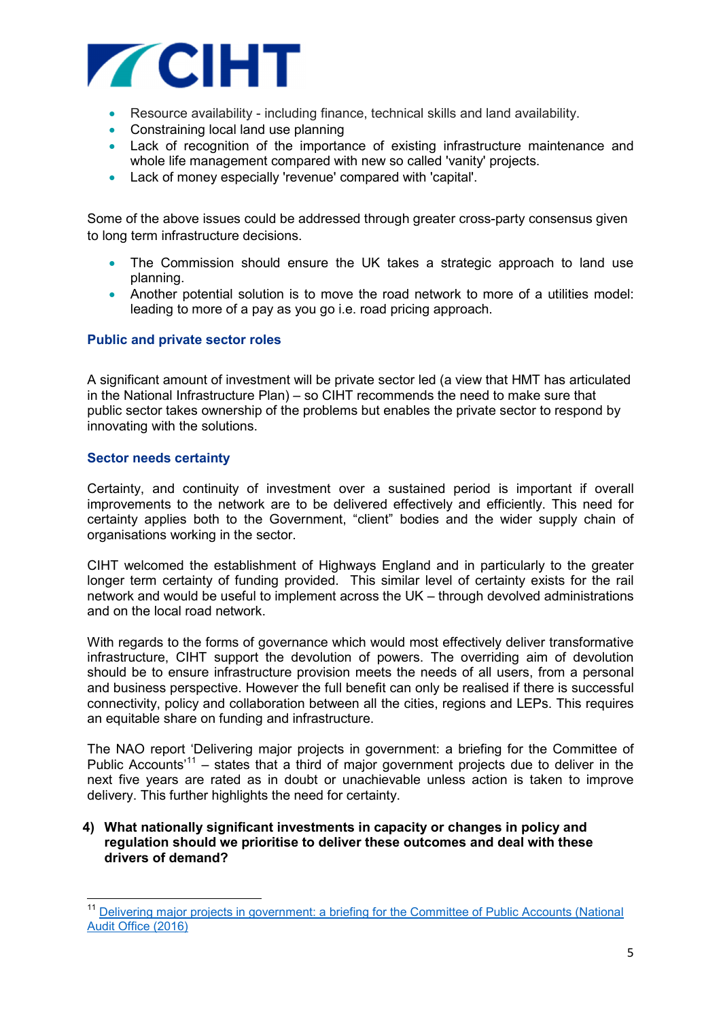

- Resource availability including finance, technical skills and land availability.
- Constraining local land use planning
- Lack of recognition of the importance of existing infrastructure maintenance and whole life management compared with new so called 'vanity' projects.
- Lack of money especially 'revenue' compared with 'capital'.

Some of the above issues could be addressed through greater cross-party consensus given to long term infrastructure decisions.

- The Commission should ensure the UK takes a strategic approach to land use planning.
- Another potential solution is to move the road network to more of a utilities model: leading to more of a pay as you go i.e. road pricing approach.

#### **Public and private sector roles**

A significant amount of investment will be private sector led (a view that HMT has articulated in the National Infrastructure Plan) – so CIHT recommends the need to make sure that public sector takes ownership of the problems but enables the private sector to respond by innovating with the solutions.

### **Sector needs certainty**

 $\overline{a}$ 

Certainty, and continuity of investment over a sustained period is important if overall improvements to the network are to be delivered effectively and efficiently. This need for certainty applies both to the Government, "client" bodies and the wider supply chain of organisations working in the sector.

CIHT welcomed the establishment of Highways England and in particularly to the greater longer term certainty of funding provided. This similar level of certainty exists for the rail network and would be useful to implement across the UK – through devolved administrations and on the local road network.

With regards to the forms of governance which would most effectively deliver transformative infrastructure, CIHT support the devolution of powers. The overriding aim of devolution should be to ensure infrastructure provision meets the needs of all users, from a personal and business perspective. However the full benefit can only be realised if there is successful connectivity, policy and collaboration between all the cities, regions and LEPs. This requires an equitable share on funding and infrastructure.

The NAO report 'Delivering major projects in government: a briefing for the Committee of Public Accounts<sup>'11</sup> – states that a third of major government projects due to deliver in the next five years are rated as in doubt or unachievable unless action is taken to improve delivery. This further highlights the need for certainty.

#### **4) What nationally significant investments in capacity or changes in policy and regulation should we prioritise to deliver these outcomes and deal with these drivers of demand?**

<sup>&</sup>lt;sup>11</sup> Delivering major projects in government: a briefing for the Committee of Public Accounts (National Audit Office (2016)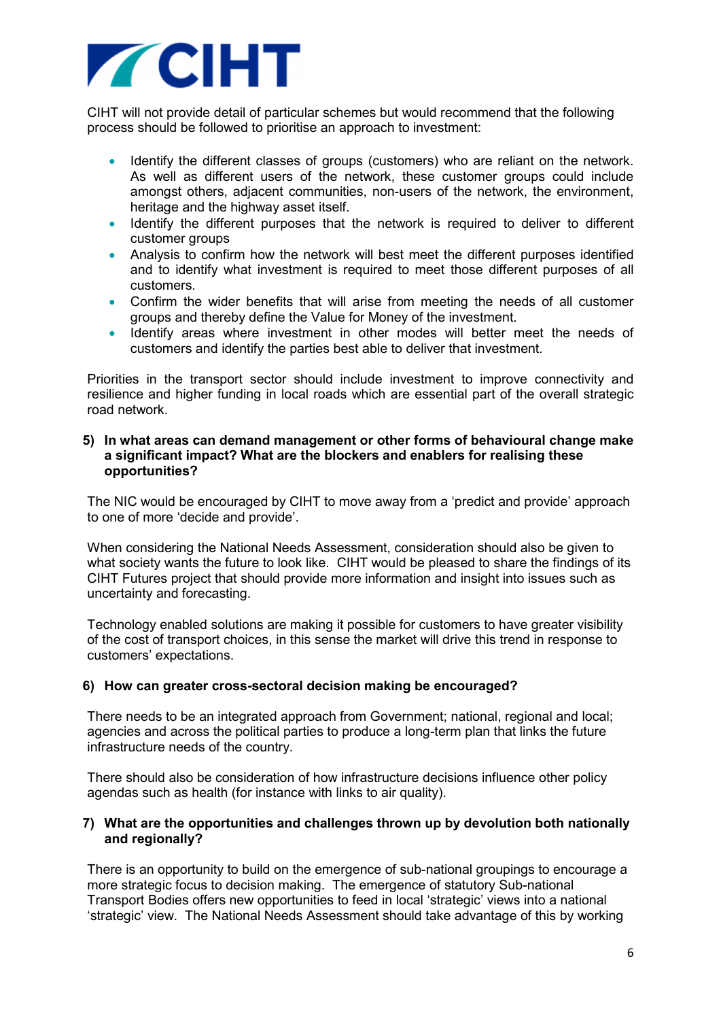

CIHT will not provide detail of particular schemes but would recommend that the following process should be followed to prioritise an approach to investment:

- Identify the different classes of groups (customers) who are reliant on the network. As well as different users of the network, these customer groups could include amongst others, adjacent communities, non-users of the network, the environment, heritage and the highway asset itself.
- Identify the different purposes that the network is required to deliver to different customer groups
- Analysis to confirm how the network will best meet the different purposes identified and to identify what investment is required to meet those different purposes of all customers.
- Confirm the wider benefits that will arise from meeting the needs of all customer groups and thereby define the Value for Money of the investment.
- Identify areas where investment in other modes will better meet the needs of customers and identify the parties best able to deliver that investment.

Priorities in the transport sector should include investment to improve connectivity and resilience and higher funding in local roads which are essential part of the overall strategic road network.

### **5) In what areas can demand management or other forms of behavioural change make a significant impact? What are the blockers and enablers for realising these opportunities?**

The NIC would be encouraged by CIHT to move away from a 'predict and provide' approach to one of more 'decide and provide'.

When considering the National Needs Assessment, consideration should also be given to what society wants the future to look like. CIHT would be pleased to share the findings of its CIHT Futures project that should provide more information and insight into issues such as uncertainty and forecasting.

Technology enabled solutions are making it possible for customers to have greater visibility of the cost of transport choices, in this sense the market will drive this trend in response to customers' expectations.

# **6) How can greater cross-sectoral decision making be encouraged?**

There needs to be an integrated approach from Government; national, regional and local; agencies and across the political parties to produce a long-term plan that links the future infrastructure needs of the country.

There should also be consideration of how infrastructure decisions influence other policy agendas such as health (for instance with links to air quality).

### **7) What are the opportunities and challenges thrown up by devolution both nationally and regionally?**

There is an opportunity to build on the emergence of sub-national groupings to encourage a more strategic focus to decision making. The emergence of statutory Sub-national Transport Bodies offers new opportunities to feed in local 'strategic' views into a national 'strategic' view. The National Needs Assessment should take advantage of this by working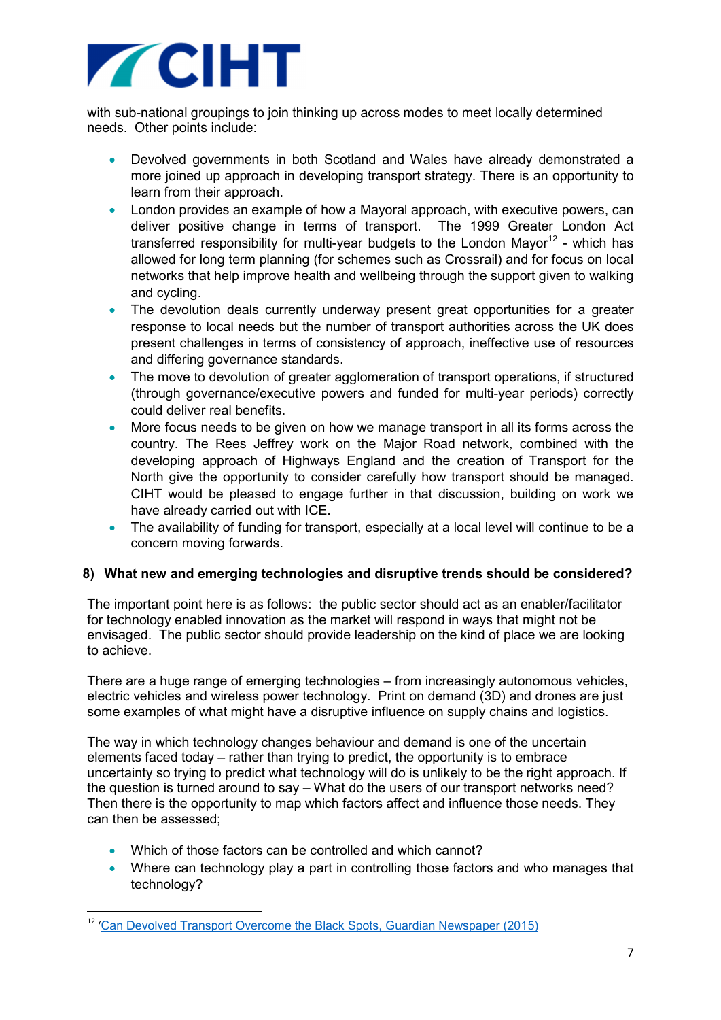

with sub-national groupings to join thinking up across modes to meet locally determined needs. Other points include:

- Devolved governments in both Scotland and Wales have already demonstrated a more joined up approach in developing transport strategy. There is an opportunity to learn from their approach.
- London provides an example of how a Mayoral approach, with executive powers, can deliver positive change in terms of transport. The 1999 Greater London Act transferred responsibility for multi-year budgets to the London Mayor<sup>12</sup> - which has allowed for long term planning (for schemes such as Crossrail) and for focus on local networks that help improve health and wellbeing through the support given to walking and cycling.
- The devolution deals currently underway present great opportunities for a greater response to local needs but the number of transport authorities across the UK does present challenges in terms of consistency of approach, ineffective use of resources and differing governance standards.
- The move to devolution of greater agglomeration of transport operations, if structured (through governance/executive powers and funded for multi-year periods) correctly could deliver real benefits.
- More focus needs to be given on how we manage transport in all its forms across the country. The Rees Jeffrey work on the Major Road network, combined with the developing approach of Highways England and the creation of Transport for the North give the opportunity to consider carefully how transport should be managed. CIHT would be pleased to engage further in that discussion, building on work we have already carried out with ICE.
- The availability of funding for transport, especially at a local level will continue to be a concern moving forwards.

# **8) What new and emerging technologies and disruptive trends should be considered?**

The important point here is as follows: the public sector should act as an enabler/facilitator for technology enabled innovation as the market will respond in ways that might not be envisaged. The public sector should provide leadership on the kind of place we are looking to achieve.

There are a huge range of emerging technologies – from increasingly autonomous vehicles, electric vehicles and wireless power technology. Print on demand (3D) and drones are just some examples of what might have a disruptive influence on supply chains and logistics.

The way in which technology changes behaviour and demand is one of the uncertain elements faced today – rather than trying to predict, the opportunity is to embrace uncertainty so trying to predict what technology will do is unlikely to be the right approach. If the question is turned around to say – What do the users of our transport networks need? Then there is the opportunity to map which factors affect and influence those needs. They can then be assessed;

• Which of those factors can be controlled and which cannot?

l

• Where can technology play a part in controlling those factors and who manages that technology?

<sup>&</sup>lt;sup>12</sup> 'Can Devolved Transport Overcome the Black Spots, Guardian Newspaper (2015)